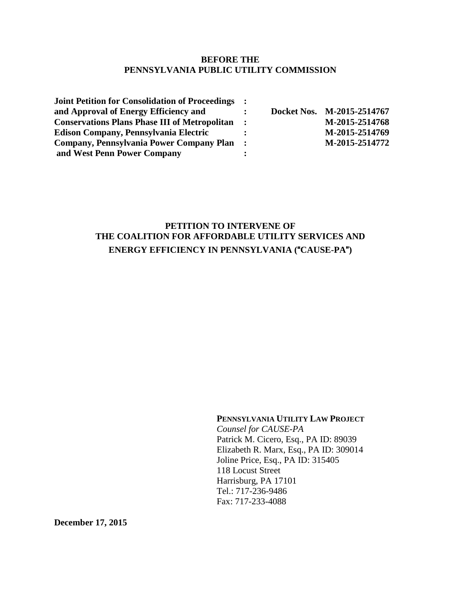#### **BEFORE THE PENNSYLVANIA PUBLIC UTILITY COMMISSION**

| <b>Joint Petition for Consolidation of Proceedings :</b> |                      |                            |
|----------------------------------------------------------|----------------------|----------------------------|
| and Approval of Energy Efficiency and                    |                      | Docket Nos. M-2015-2514767 |
| <b>Conservations Plans Phase III of Metropolitan</b>     | $\ddot{\phantom{1}}$ | M-2015-2514768             |
| <b>Edison Company, Pennsylvania Electric</b>             |                      | M-2015-2514769             |
| Company, Pennsylvania Power Company Plan :               |                      | M-2015-2514772             |
| and West Penn Power Company                              |                      |                            |

## **PETITION TO INTERVENE OF THE COALITION FOR AFFORDABLE UTILITY SERVICES AND ENERGY EFFICIENCY IN PENNSYLVANIA (**"**CAUSE-PA**"**)**

#### **PENNSYLVANIA UTILITY LAW PROJECT**

*Counsel for CAUSE-PA* Patrick M. Cicero, Esq., PA ID: 89039 Elizabeth R. Marx, Esq., PA ID: 309014 Joline Price, Esq., PA ID: 315405 118 Locust Street Harrisburg, PA 17101 Tel.: 717-236-9486 Fax: 717-233-4088

**December 17, 2015**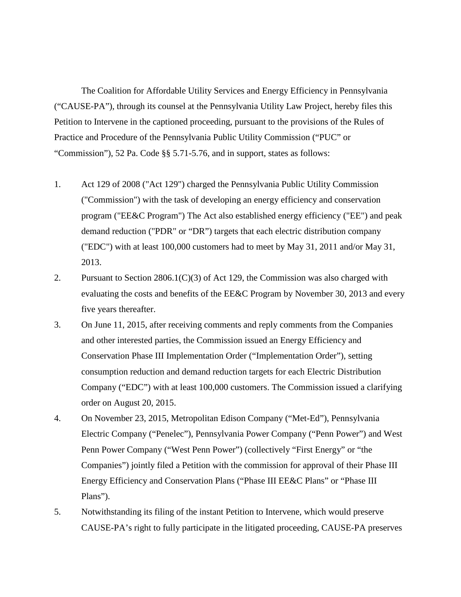The Coalition for Affordable Utility Services and Energy Efficiency in Pennsylvania ("CAUSE-PA"), through its counsel at the Pennsylvania Utility Law Project, hereby files this Petition to Intervene in the captioned proceeding, pursuant to the provisions of the Rules of Practice and Procedure of the Pennsylvania Public Utility Commission ("PUC" or "Commission"), 52 Pa. Code §§ 5.71-5.76, and in support, states as follows:

- 1. Act 129 of 2008 ("Act 129") charged the Pennsylvania Public Utility Commission ("Commission") with the task of developing an energy efficiency and conservation program ("EE&C Program") The Act also established energy efficiency ("EE") and peak demand reduction ("PDR" or "DR") targets that each electric distribution company ("EDC") with at least 100,000 customers had to meet by May 31, 2011 and/or May 31, 2013.
- 2. Pursuant to Section 2806.1(C)(3) of Act 129, the Commission was also charged with evaluating the costs and benefits of the EE&C Program by November 30, 2013 and every five years thereafter.
- 3. On June 11, 2015, after receiving comments and reply comments from the Companies and other interested parties, the Commission issued an Energy Efficiency and Conservation Phase III Implementation Order ("Implementation Order"), setting consumption reduction and demand reduction targets for each Electric Distribution Company ("EDC") with at least 100,000 customers. The Commission issued a clarifying order on August 20, 2015.
- 4. On November 23, 2015, Metropolitan Edison Company ("Met-Ed"), Pennsylvania Electric Company ("Penelec"), Pennsylvania Power Company ("Penn Power") and West Penn Power Company ("West Penn Power") (collectively "First Energy" or "the Companies") jointly filed a Petition with the commission for approval of their Phase III Energy Efficiency and Conservation Plans ("Phase III EE&C Plans" or "Phase III Plans").
- 5. Notwithstanding its filing of the instant Petition to Intervene, which would preserve CAUSE-PA's right to fully participate in the litigated proceeding, CAUSE-PA preserves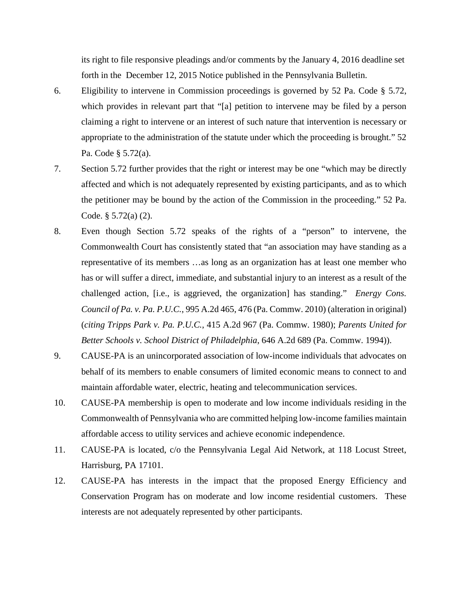its right to file responsive pleadings and/or comments by the January 4, 2016 deadline set forth in the December 12, 2015 Notice published in the Pennsylvania Bulletin.

- 6. Eligibility to intervene in Commission proceedings is governed by 52 Pa. Code § 5.72, which provides in relevant part that "[a] petition to intervene may be filed by a person claiming a right to intervene or an interest of such nature that intervention is necessary or appropriate to the administration of the statute under which the proceeding is brought." 52 Pa. Code § 5.72(a).
- 7. Section 5.72 further provides that the right or interest may be one "which may be directly affected and which is not adequately represented by existing participants, and as to which the petitioner may be bound by the action of the Commission in the proceeding." 52 Pa. Code. § 5.72(a) (2).
- 8. Even though Section 5.72 speaks of the rights of a "person" to intervene, the Commonwealth Court has consistently stated that "an association may have standing as a representative of its members …as long as an organization has at least one member who has or will suffer a direct, immediate, and substantial injury to an interest as a result of the challenged action, [i.e., is aggrieved, the organization] has standing." *Energy Cons. Council of Pa. v. Pa. P.U.C.*, 995 A.2d 465, 476 (Pa. Commw. 2010) (alteration in original) (*citing Tripps Park v. Pa. P.U.C.*, 415 A.2d 967 (Pa. Commw. 1980); *Parents United for Better Schools v. School District of Philadelphia*, 646 A.2d 689 (Pa. Commw. 1994)).
- 9. CAUSE-PA is an unincorporated association of low-income individuals that advocates on behalf of its members to enable consumers of limited economic means to connect to and maintain affordable water, electric, heating and telecommunication services.
- 10. CAUSE-PA membership is open to moderate and low income individuals residing in the Commonwealth of Pennsylvania who are committed helping low-income families maintain affordable access to utility services and achieve economic independence.
- 11. CAUSE-PA is located, c/o the Pennsylvania Legal Aid Network, at 118 Locust Street, Harrisburg, PA 17101.
- 12. CAUSE-PA has interests in the impact that the proposed Energy Efficiency and Conservation Program has on moderate and low income residential customers. These interests are not adequately represented by other participants.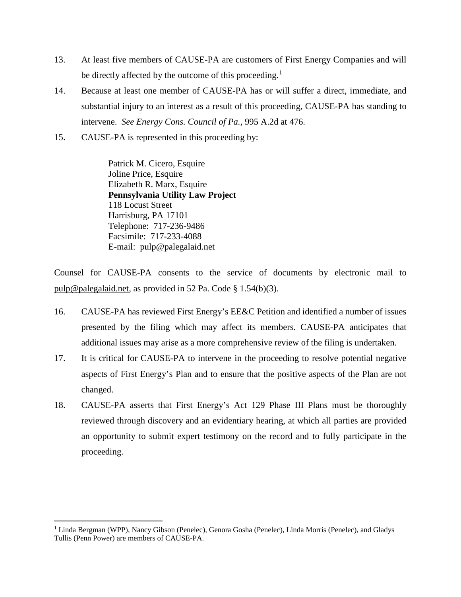- 13. At least five members of CAUSE-PA are customers of First Energy Companies and will be directly affected by the outcome of this proceeding.<sup>[1](#page-3-0)</sup>
- 14. Because at least one member of CAUSE-PA has or will suffer a direct, immediate, and substantial injury to an interest as a result of this proceeding, CAUSE-PA has standing to intervene. *See Energy Cons. Council of Pa.,* 995 A.2d at 476.
- 15. CAUSE-PA is represented in this proceeding by:

Patrick M. Cicero, Esquire Joline Price, Esquire Elizabeth R. Marx, Esquire **Pennsylvania Utility Law Project** 118 Locust Street Harrisburg, PA 17101 Telephone: 717-236-9486 Facsimile: 717-233-4088 E-mail: [pulp@palegalaid.net](mailto:pulp@palegalaid.net)

Counsel for CAUSE-PA consents to the service of documents by electronic mail to [pulp@palegalaid.net,](mailto:pulp@palegalaid.net) as provided in 52 Pa. Code § 1.54(b)(3).

- 16. CAUSE-PA has reviewed First Energy's EE&C Petition and identified a number of issues presented by the filing which may affect its members. CAUSE-PA anticipates that additional issues may arise as a more comprehensive review of the filing is undertaken.
- 17. It is critical for CAUSE-PA to intervene in the proceeding to resolve potential negative aspects of First Energy's Plan and to ensure that the positive aspects of the Plan are not changed.
- 18. CAUSE-PA asserts that First Energy's Act 129 Phase III Plans must be thoroughly reviewed through discovery and an evidentiary hearing, at which all parties are provided an opportunity to submit expert testimony on the record and to fully participate in the proceeding.

 $\overline{a}$ 

<span id="page-3-0"></span><sup>&</sup>lt;sup>1</sup> Linda Bergman (WPP), Nancy Gibson (Penelec), Genora Gosha (Penelec), Linda Morris (Penelec), and Gladys Tullis (Penn Power) are members of CAUSE-PA.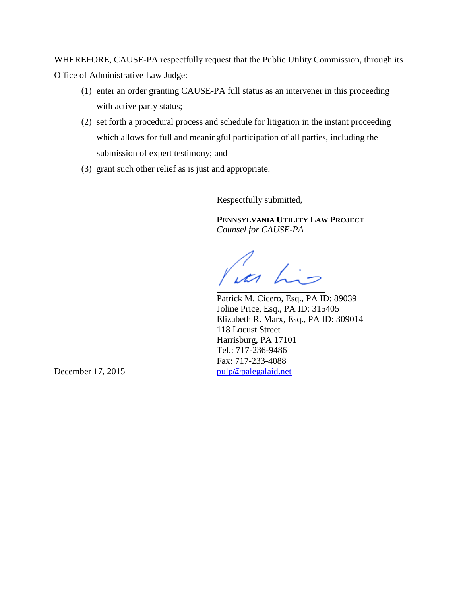WHEREFORE, CAUSE-PA respectfully request that the Public Utility Commission, through its Office of Administrative Law Judge:

- (1) enter an order granting CAUSE-PA full status as an intervener in this proceeding with active party status;
- (2) set forth a procedural process and schedule for litigation in the instant proceeding which allows for full and meaningful participation of all parties, including the submission of expert testimony; and
- (3) grant such other relief as is just and appropriate.

Respectfully submitted,

**PENNSYLVANIA UTILITY LAW PROJECT** *Counsel for CAUSE-PA*

un his

Patrick M. Cicero, Esq., PA ID: 89039 Joline Price, Esq., PA ID: 315405 Elizabeth R. Marx, Esq., PA ID: 309014 118 Locust Street Harrisburg, PA 17101 Tel.: 717-236-9486 Fax: 717-233-4088 December 17, 2015 [pulp@palegalaid.net](mailto:pulp@palegalaid.net)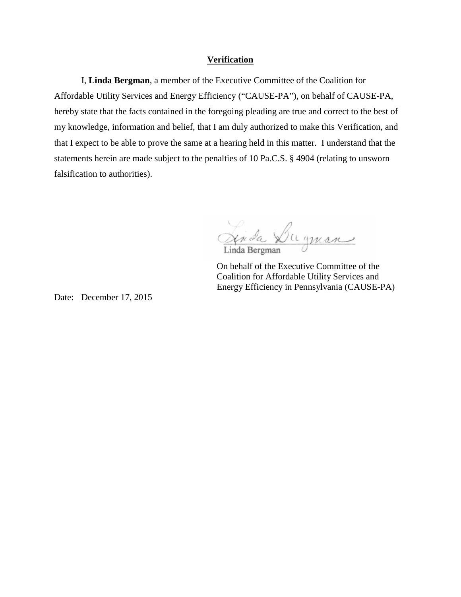#### **Verification**

I, **Linda Bergman**, a member of the Executive Committee of the Coalition for Affordable Utility Services and Energy Efficiency ("CAUSE-PA"), on behalf of CAUSE-PA, hereby state that the facts contained in the foregoing pleading are true and correct to the best of my knowledge, information and belief, that I am duly authorized to make this Verification, and that I expect to be able to prove the same at a hearing held in this matter. I understand that the statements herein are made subject to the penalties of 10 Pa.C.S. § 4904 (relating to unsworn falsification to authorities).

Linda Dugman Linda Bergman

On behalf of the Executive Committee of the Coalition for Affordable Utility Services and Energy Efficiency in Pennsylvania (CAUSE-PA)

Date: December 17, 2015